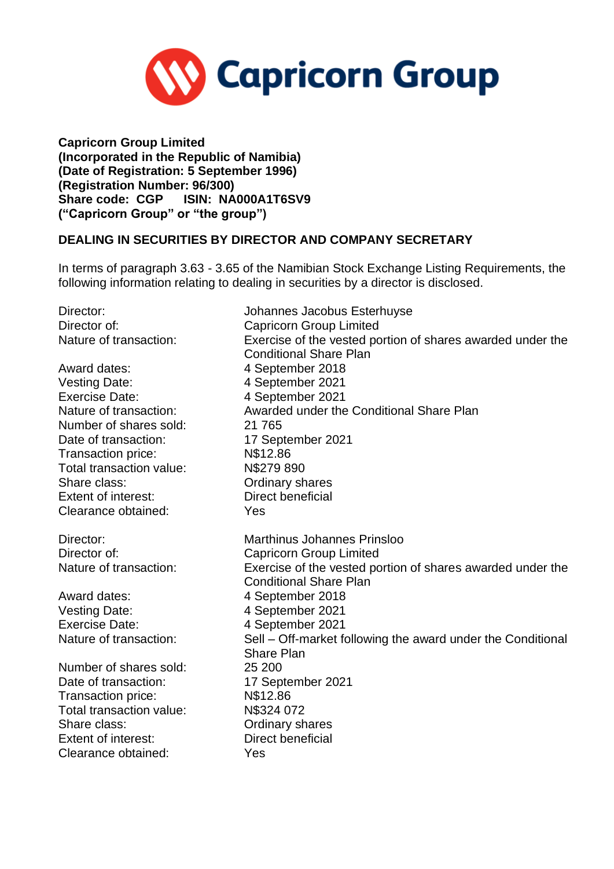

**Capricorn Group Limited (Incorporated in the Republic of Namibia) (Date of Registration: 5 September 1996) (Registration Number: 96/300) Share code: CGP ISIN: NA000A1T6SV9 ("Capricorn Group" or "the group")**

## **DEALING IN SECURITIES BY DIRECTOR AND COMPANY SECRETARY**

In terms of paragraph 3.63 - 3.65 of the Namibian Stock Exchange Listing Requirements, the following information relating to dealing in securities by a director is disclosed.

| Director:                  | Johannes Jacobus Esterhuyse                                                                 |
|----------------------------|---------------------------------------------------------------------------------------------|
| Director of:               | <b>Capricorn Group Limited</b>                                                              |
| Nature of transaction:     | Exercise of the vested portion of shares awarded under the                                  |
|                            | <b>Conditional Share Plan</b>                                                               |
| Award dates:               | 4 September 2018                                                                            |
| <b>Vesting Date:</b>       | 4 September 2021                                                                            |
| <b>Exercise Date:</b>      | 4 September 2021                                                                            |
| Nature of transaction:     | Awarded under the Conditional Share Plan                                                    |
| Number of shares sold:     | 21 7 65                                                                                     |
| Date of transaction:       | 17 September 2021                                                                           |
| Transaction price:         | N\$12.86                                                                                    |
| Total transaction value:   | N\$279890                                                                                   |
| Share class:               | Ordinary shares                                                                             |
| <b>Extent of interest:</b> | Direct beneficial                                                                           |
| Clearance obtained:        | Yes                                                                                         |
| Director:                  | <b>Marthinus Johannes Prinsloo</b>                                                          |
| Director of:               | <b>Capricorn Group Limited</b>                                                              |
| Nature of transaction:     | Exercise of the vested portion of shares awarded under the<br><b>Conditional Share Plan</b> |
| Award dates:               | 4 September 2018                                                                            |
| <b>Vesting Date:</b>       | 4 September 2021                                                                            |
| <b>Exercise Date:</b>      | 4 September 2021                                                                            |
| Nature of transaction:     | Sell – Off-market following the award under the Conditional<br><b>Share Plan</b>            |
| Number of shares sold:     | 25 200                                                                                      |
| Date of transaction:       | 17 September 2021                                                                           |
| Transaction price:         | N\$12.86                                                                                    |
| Total transaction value:   | N\$324 072                                                                                  |
| Share class:               | <b>Ordinary shares</b>                                                                      |
| <b>Extent of interest:</b> | Direct beneficial                                                                           |
| Clearance obtained:        | Yes                                                                                         |
|                            |                                                                                             |